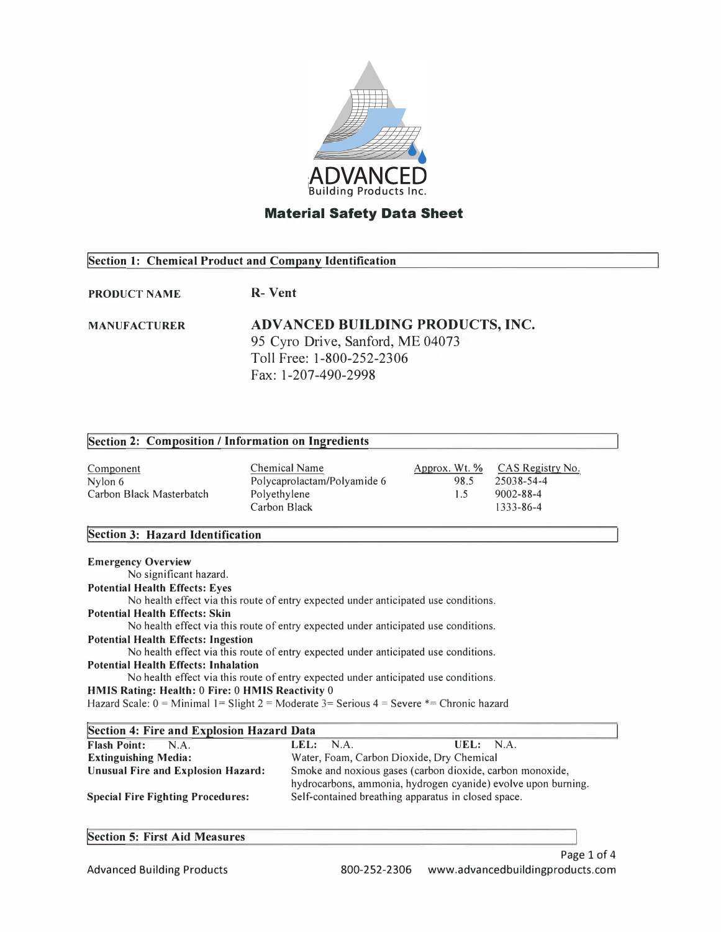

# **Section 1: Chemical Product and Company Identification**

**PRODUCT NAME R- Vent**

### **MANUFACTURER ADV AN CED BUILDING PRODUCTS, INC.**  95 Cyro Drive, Sanford, ME 04073 Toll Free: 1-800-252-2306 Fax: 1-207-490-2998

#### **!Section 2: Composition/ Information on Ingredients Component** Nylon 6 Carbon Black Masterbatch Chemical Name Polycaprolactam/Polyamide 6 Polyethylene Carbon Black Approx. Wt. % 98.5 1.5 CAS Registry No. 25038-54-4 9002-88-4 1333-86-4

# **!Section 3: Hazard Identification**

| <b>Emergency Overview</b>                                                                     |
|-----------------------------------------------------------------------------------------------|
| No significant hazard.                                                                        |
| <b>Potential Health Effects: Eyes</b>                                                         |
| No health effect via this route of entry expected under anticipated use conditions.           |
| <b>Potential Health Effects: Skin</b>                                                         |
| No health effect via this route of entry expected under anticipated use conditions.           |
| <b>Potential Health Effects: Ingestion</b>                                                    |
| No health effect via this route of entry expected under anticipated use conditions.           |
| Potential Health Effects: Inhalation                                                          |
| No health effect via this route of entry expected under anticipated use conditions.           |
| HMIS Rating: Health: 0 Fire: 0 HMIS Reactivity 0                                              |
| Hazard Scale: $0 =$ Minimal 1= Slight 2 = Moderate 3= Serious 4 = Severe $* =$ Chronic hazard |
|                                                                                               |

| Section 4: Fire and Explosion Hazard Data |                                                               |  |  |  |
|-------------------------------------------|---------------------------------------------------------------|--|--|--|
| <b>Flash Point:</b><br>N.A.               | LEL: NA.<br>UEL: NA.                                          |  |  |  |
| <b>Extinguishing Media:</b>               | Water, Foam, Carbon Dioxide, Dry Chemical                     |  |  |  |
| <b>Unusual Fire and Explosion Hazard:</b> | Smoke and noxious gases (carbon dioxide, carbon monoxide,     |  |  |  |
|                                           | hydrocarbons, ammonia, hydrogen cyanide) evolve upon burning. |  |  |  |
| <b>Special Fire Fighting Procedures:</b>  | Self-contained breathing apparatus in closed space.           |  |  |  |

# **!Section 5: First Aid Measures**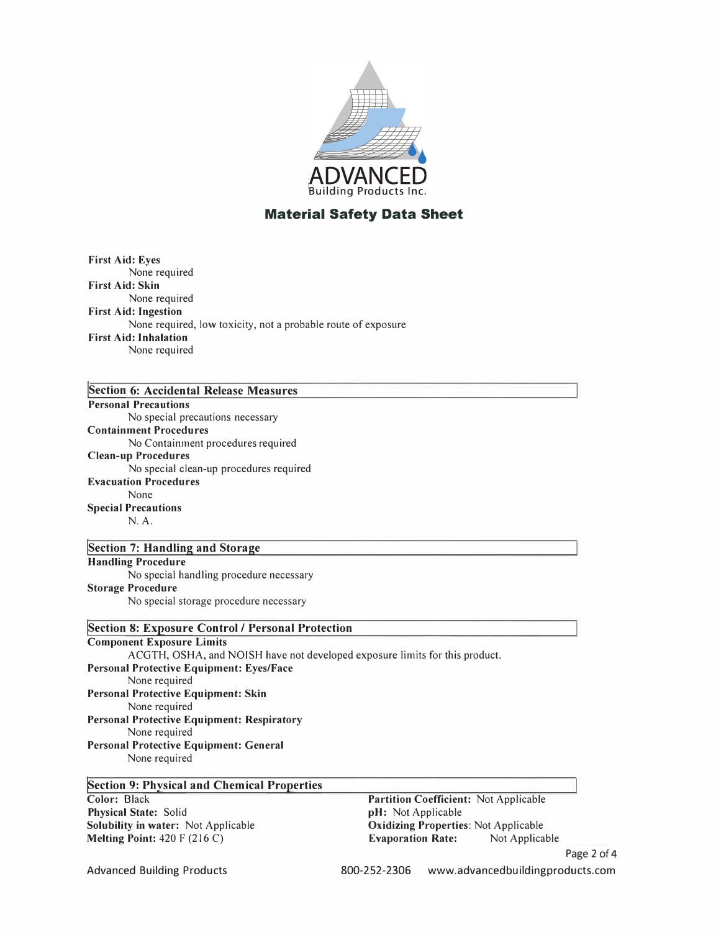

| <b>First Aid: Eyes</b>       |                                                               |
|------------------------------|---------------------------------------------------------------|
| None required                |                                                               |
| <b>First Aid: Skin</b>       |                                                               |
| None required                |                                                               |
| <b>First Aid: Ingestion</b>  |                                                               |
|                              | None required, low toxicity, not a probable route of exposure |
| <b>First Aid: Inhalation</b> |                                                               |
| None required                |                                                               |
|                              |                                                               |

| Section 6: Accidental Release Measures                                      |                                 |
|-----------------------------------------------------------------------------|---------------------------------|
| <b>Personal Precautions</b>                                                 |                                 |
| No special precautions necessary                                            |                                 |
| <b>Containment Procedures</b>                                               |                                 |
| No Containment procedures required                                          |                                 |
| <b>Clean-up Procedures</b>                                                  |                                 |
| No special clean-up procedures required                                     |                                 |
| <b>Evacuation Procedures</b>                                                |                                 |
| None                                                                        |                                 |
| <b>Special Precautions</b>                                                  |                                 |
| N.A.                                                                        |                                 |
|                                                                             |                                 |
| <b>Section 7: Handling and Storage</b>                                      |                                 |
| <b>Handling Procedure</b>                                                   |                                 |
| No special handling procedure necessary                                     |                                 |
| <b>Storage Procedure</b>                                                    |                                 |
| No special storage procedure necessary                                      |                                 |
| <b>Section 8: Exposure Control / Personal Protection</b>                    |                                 |
| <b>Component Exposure Limits</b>                                            |                                 |
| ACGTH, OSHA, and NOISH have not developed exposure limits for this product. |                                 |
| <b>Personal Protective Equipment: Eyes/Face</b>                             |                                 |
| None required                                                               |                                 |
| Personal Protective Equipment: Skin                                         |                                 |
| None required                                                               |                                 |
| <b>Personal Protective Equipment: Respiratory</b>                           |                                 |
| None required                                                               |                                 |
| Personal Protective Equipment: General                                      |                                 |
| None required                                                               |                                 |
| <b>Section 9: Physical and Chemical Properties</b>                          |                                 |
| Color: Black                                                                | Partition Coefficient: Not Appl |
|                                                                             |                                 |

**Physical State:** Solid **Solubility in water:** Not Applicable **Melting Point:** 420 F (216 C)

**Parable pH:** Not Applicable **Oxidizing Properties: Not Applicable<br>
<b>Evaporation Rate:** Not Applicable **Evaporation Rate:** 

Advanced Building Products 800-252-2306 www.advancedbuildingproducts.com

Page 2 of 4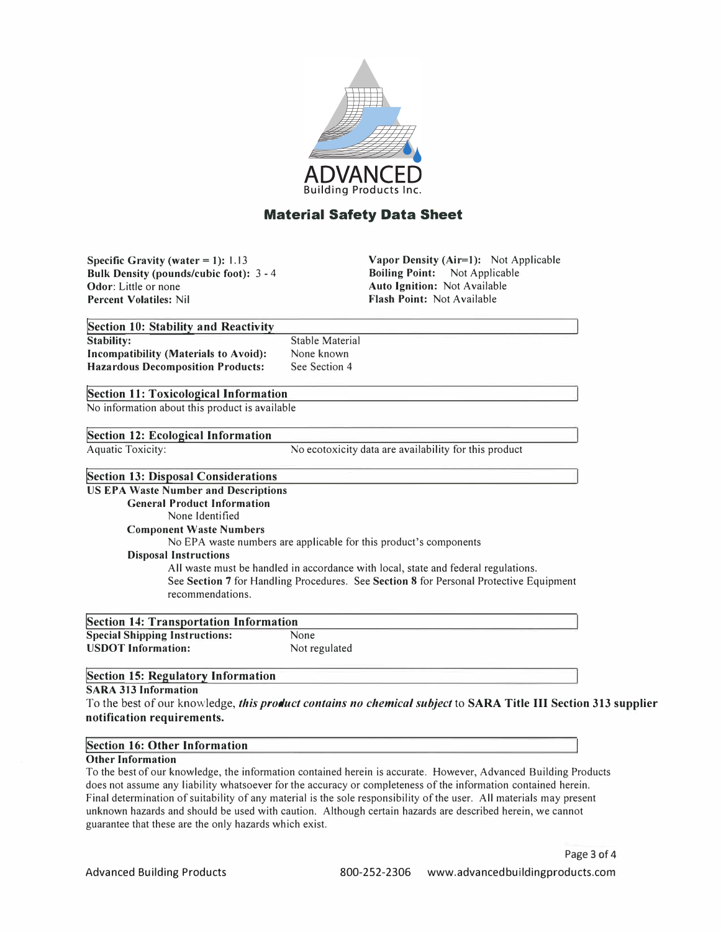

**Specific Gravity (water**  $= 1$ **): 1.13 Bulk Density (pounds/cubic foot):** 3 - 4 **Odor:** Little or none **Percent Volatiles:** Nil

**Vapor Density (Air=l):** Not Applicable **Boiling Point:** Not Applicable **Auto Ignition:** Not Available **Flash Point:** Not Available

| Section 10: Stability and Reactivity         |       |
|----------------------------------------------|-------|
| Stability:                                   | Stabl |
| <b>Incompatibility (Materials to Avoid):</b> | None  |

le Material e known See Section 4

### **!section 11: Toxicological Information**

**Hazardous Decomposition Products:** 

No information about this product is available

### **!Section 12: Ecological Information**

Aquatic Toxicity:

No ecotoxicity data are availability for this product

## **!Section 13: Disposal Considerations**

**US EPA Waste Number and Descriptions General Product Information**  None Identified **Component Waste Numbers**  No EPA waste numbers are applicable for this product's components **Disposal Instructions**  All waste must be handled in accordance with local, state and federal regulations. See **Section** 7 for Handling Procedures. See **Section 8** for Personal Protective Equipment recommendations.

| <b>Section 14: Transportation Information</b> |               |  |  |
|-----------------------------------------------|---------------|--|--|
| <b>Special Shipping Instructions:</b>         | None          |  |  |
| <b>USDOT</b> Information:                     | Not regulated |  |  |

## **!Section 15: Regulatory Information**

# **SARA 313 Information**

To the best of our knowledge, *this product contains no chemical subject* to **SARA Title** III **Section 313 supplier notification requirements.** 

### **!Section 16: Other Information**

#### **Other Information**

To the best of our knowledge, the information contained herein is accurate. However, Advanced Building Products does not assume any liability whatsoever for the accuracy or completeness of the information contained herein. Final determination of suitability of any material is the sole responsibility of the user. All materials may present unknown hazards and should be used with caution. Although certain hazards are described herein, we cannot guarantee that these are the only hazards which exist.